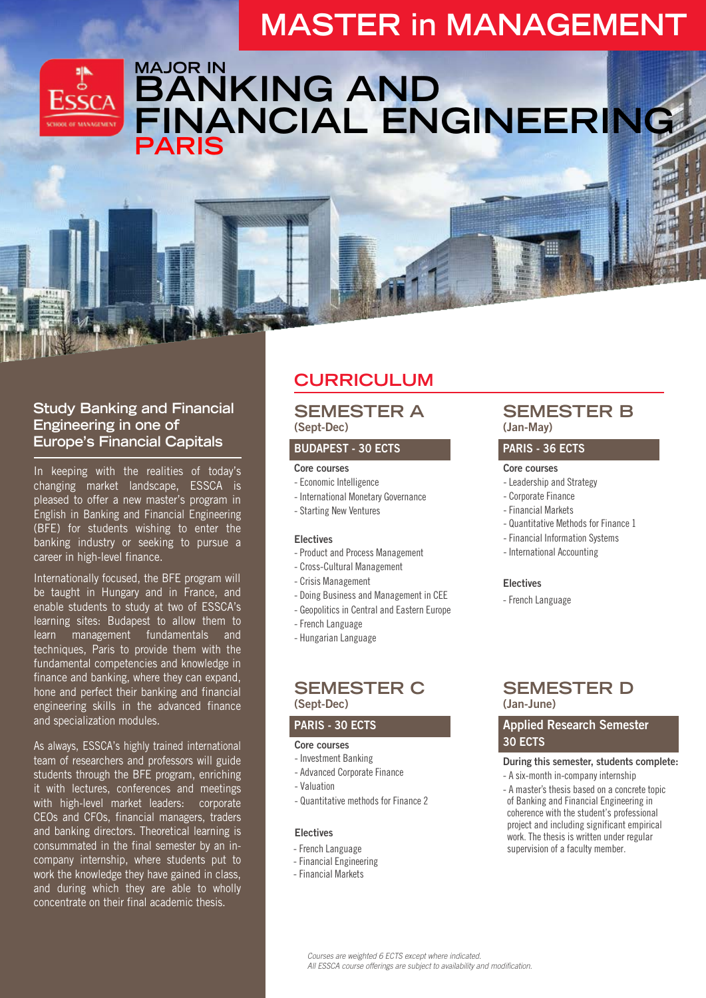# **MASTER in MANAGEMENT**



## **MAJOR IN BANKING AND FINANCIAL ENGINEERING PARIS**

### **Study Banking and Financial Engineering in one of Europe's Financial Capitals**

In keeping with the realities of today's changing market landscape, ESSCA is pleased to offer a new master's program in English in Banking and Financial Engineering (BFE) for students wishing to enter the banking industry or seeking to pursue a career in high-level finance.

Internationally focused, the BFE program will be taught in Hungary and in France, and enable students to study at two of ESSCA's learning sites: Budapest to allow them to learn management fundamentals and techniques, Paris to provide them with the fundamental competencies and knowledge in finance and banking, where they can expand, hone and perfect their banking and financial engineering skills in the advanced finance and specialization modules.

As always, ESSCA's highly trained international team of researchers and professors will guide students through the BFE program, enriching it with lectures, conferences and meetings with high-level market leaders: corporate CEOs and CFOs, financial managers, traders and banking directors. Theoretical learning is consummated in the final semester by an incompany internship, where students put to work the knowledge they have gained in class, and during which they are able to wholly concentrate on their final academic thesis.

## **CURRICULUM**

### **SEMESTER A (Sept-Dec)**

#### **BUDAPEST - 30 ECTS**

#### **Core courses**

- Economic Intelligence
- International Monetary Governance
- Starting New Ventures

#### **Electives**

- Product and Process Management
- Cross-Cultural Management
- Crisis Management
- Doing Business and Management in CEE
- Geopolitics in Central and Eastern Europe
- French Language
- Hungarian Language

### **SEMESTER C (Sept-Dec)**

#### PARI**S - 30 ECTS**

#### **Core courses**

- Investment Banking
- Advanced Corporate Finance
- Valuation
- Quantitative methods for Finance 2

#### **Electives**

- French Language
- Financial Engineering
- Financial Markets

## **SEMESTER B (Jan-May)**

### **PARIS - 36 ECTS**

#### **Core courses**

- Leadership and Strategy
- Corporate Finance
- Financial Markets
- Quantitative Methods for Finance 1
- Financial Information Systems
- International Accounting

#### **Electives**

- French Language

### **SEMESTER D (Jan-June)**

## **Applied Research Semester 30 ECTS**

#### **During this semester, students complete:**

- A six-month in-company internship
- A master's thesis based on a concrete topic of Banking and Financial Engineering in coherence with the student's professional project and including significant empirical work. The thesis is written under regular supervision of a faculty member.